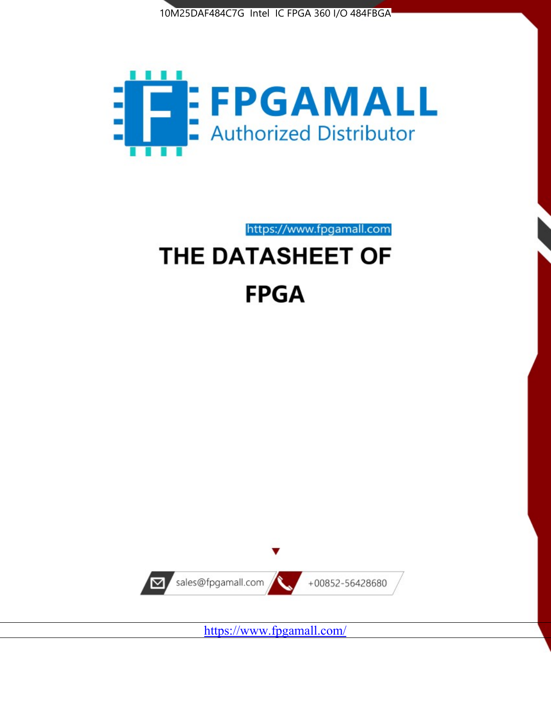



https://www.fpgamall.com THE DATASHEET OF

# **FPGA**



<https://www.fpgamall.com/>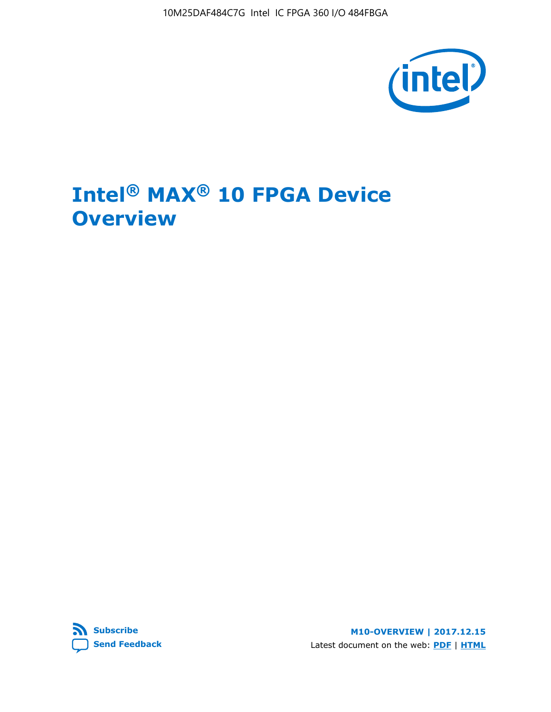10M25DAF484C7G Intel IC FPGA 360 I/O 484FBGA



# **Intel® MAX® 10 FPGA Device Overview**



**M10-OVERVIEW | 2017.12.15** Latest document on the web: **[PDF](https://www.altera.com/en_US/pdfs/literature/hb/max-10/m10_overview.pdf)** | **[HTML](https://www.altera.com/documentation/myt1396938463674.html)**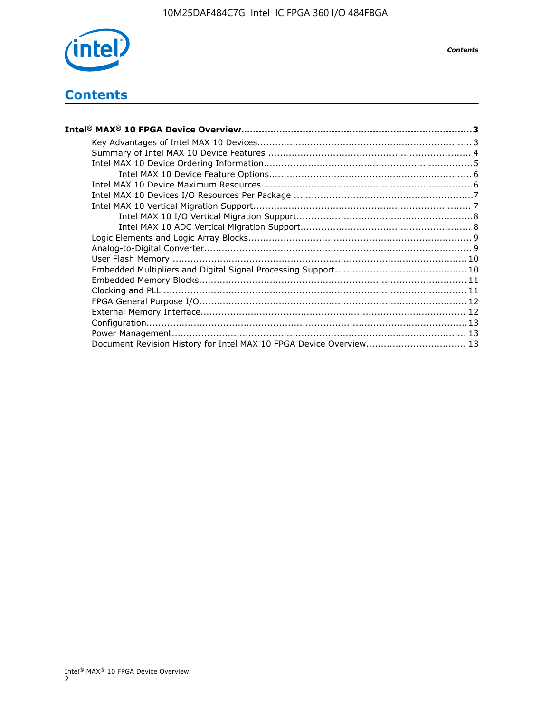

*Contents*

## **Contents**

| Intel® MAX® 10 FPGA Device Overview……………………………………………………………………………3  |  |
|--------------------------------------------------------------------|--|
|                                                                    |  |
|                                                                    |  |
|                                                                    |  |
|                                                                    |  |
|                                                                    |  |
|                                                                    |  |
|                                                                    |  |
|                                                                    |  |
|                                                                    |  |
|                                                                    |  |
|                                                                    |  |
|                                                                    |  |
|                                                                    |  |
|                                                                    |  |
|                                                                    |  |
|                                                                    |  |
|                                                                    |  |
|                                                                    |  |
|                                                                    |  |
| Document Revision History for Intel MAX 10 FPGA Device Overview 13 |  |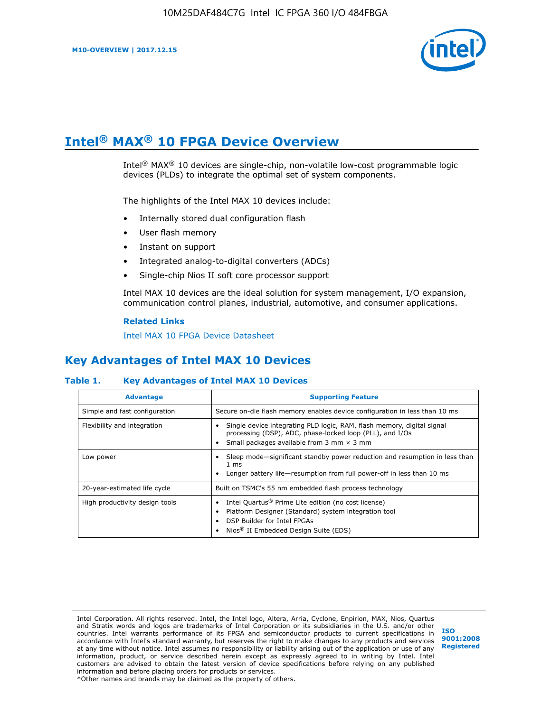

# **Intel® MAX® 10 FPGA Device Overview**

Intel<sup>®</sup> MAX<sup>®</sup> 10 devices are single-chip, non-volatile low-cost programmable logic devices (PLDs) to integrate the optimal set of system components.

The highlights of the Intel MAX 10 devices include:

- Internally stored dual configuration flash
- User flash memory
- Instant on support
- Integrated analog-to-digital converters (ADCs)
- Single-chip Nios II soft core processor support

Intel MAX 10 devices are the ideal solution for system management, I/O expansion, communication control planes, industrial, automotive, and consumer applications.

#### **Related Links**

[Intel MAX 10 FPGA Device Datasheet](https://www.altera.com/documentation/mcn1397700832153.html#mcn1397643748870)

## **Key Advantages of Intel MAX 10 Devices**

#### **Table 1. Key Advantages of Intel MAX 10 Devices**

| <b>Advantage</b>               | <b>Supporting Feature</b>                                                                                                                                                                                  |  |  |  |
|--------------------------------|------------------------------------------------------------------------------------------------------------------------------------------------------------------------------------------------------------|--|--|--|
| Simple and fast configuration  | Secure on-die flash memory enables device configuration in less than 10 ms                                                                                                                                 |  |  |  |
| Flexibility and integration    | Single device integrating PLD logic, RAM, flash memory, digital signal<br>processing (DSP), ADC, phase-locked loop (PLL), and I/Os<br>Small packages available from 3 mm $\times$ 3 mm                     |  |  |  |
| Low power                      | Sleep mode—significant standby power reduction and resumption in less than<br>$1 \text{ ms}$<br>Longer battery life—resumption from full power-off in less than 10 ms                                      |  |  |  |
| 20-year-estimated life cycle   | Built on TSMC's 55 nm embedded flash process technology                                                                                                                                                    |  |  |  |
| High productivity design tools | Intel Quartus <sup>®</sup> Prime Lite edition (no cost license)<br>Platform Designer (Standard) system integration tool<br>DSP Builder for Intel FPGAs<br>Nios <sup>®</sup> II Embedded Design Suite (EDS) |  |  |  |

Intel Corporation. All rights reserved. Intel, the Intel logo, Altera, Arria, Cyclone, Enpirion, MAX, Nios, Quartus and Stratix words and logos are trademarks of Intel Corporation or its subsidiaries in the U.S. and/or other countries. Intel warrants performance of its FPGA and semiconductor products to current specifications in accordance with Intel's standard warranty, but reserves the right to make changes to any products and services at any time without notice. Intel assumes no responsibility or liability arising out of the application or use of any information, product, or service described herein except as expressly agreed to in writing by Intel. Intel customers are advised to obtain the latest version of device specifications before relying on any published information and before placing orders for products or services. \*Other names and brands may be claimed as the property of others.

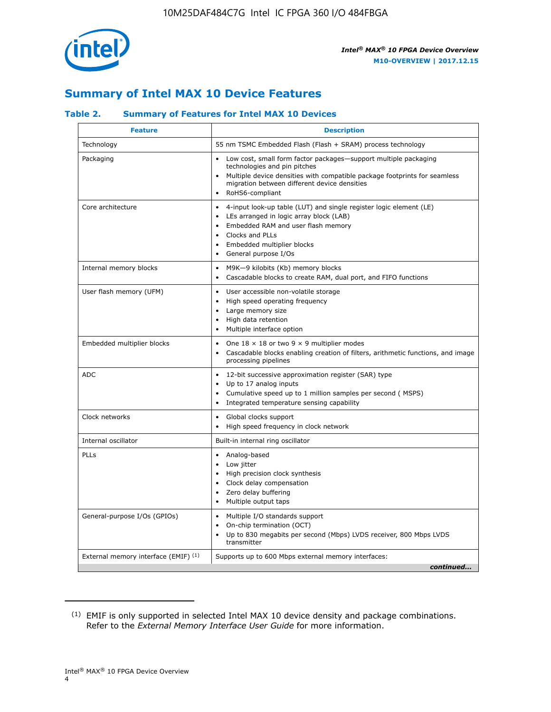

## **Summary of Intel MAX 10 Device Features**

#### **Table 2. Summary of Features for Intel MAX 10 Devices**

| <b>Feature</b>                       | <b>Description</b>                                                                                                                                                                                                                                                               |
|--------------------------------------|----------------------------------------------------------------------------------------------------------------------------------------------------------------------------------------------------------------------------------------------------------------------------------|
| Technology                           | 55 nm TSMC Embedded Flash (Flash + SRAM) process technology                                                                                                                                                                                                                      |
| Packaging                            | Low cost, small form factor packages-support multiple packaging<br>technologies and pin pitches<br>Multiple device densities with compatible package footprints for seamless<br>migration between different device densities<br>RoHS6-compliant                                  |
| Core architecture                    | 4-input look-up table (LUT) and single register logic element (LE)<br>LEs arranged in logic array block (LAB)<br>$\bullet$<br>Embedded RAM and user flash memory<br>Clocks and PLLs<br>$\bullet$<br>Embedded multiplier blocks<br>$\bullet$<br>General purpose I/Os<br>$\bullet$ |
| Internal memory blocks               | M9K-9 kilobits (Kb) memory blocks<br>$\bullet$<br>Cascadable blocks to create RAM, dual port, and FIFO functions<br>$\bullet$                                                                                                                                                    |
| User flash memory (UFM)              | User accessible non-volatile storage<br>$\bullet$<br>High speed operating frequency<br>$\bullet$<br>Large memory size<br>High data retention<br>$\bullet$<br>Multiple interface option<br>$\bullet$                                                                              |
| Embedded multiplier blocks           | One $18 \times 18$ or two 9 $\times$ 9 multiplier modes<br>$\bullet$<br>Cascadable blocks enabling creation of filters, arithmetic functions, and image<br>processing pipelines                                                                                                  |
| <b>ADC</b>                           | 12-bit successive approximation register (SAR) type<br>$\bullet$<br>Up to 17 analog inputs<br>$\bullet$<br>Cumulative speed up to 1 million samples per second (MSPS)<br>Integrated temperature sensing capability                                                               |
| Clock networks                       | Global clocks support<br>$\bullet$<br>High speed frequency in clock network                                                                                                                                                                                                      |
| Internal oscillator                  | Built-in internal ring oscillator                                                                                                                                                                                                                                                |
| PLLs                                 | Analog-based<br>Low jitter<br>$\bullet$<br>High precision clock synthesis<br>Clock delay compensation<br>$\bullet$<br>Zero delay buffering<br>$\bullet$<br>Multiple output taps<br>٠                                                                                             |
| General-purpose I/Os (GPIOs)         | Multiple I/O standards support<br>$\bullet$<br>On-chip termination (OCT)<br>$\bullet$<br>Up to 830 megabits per second (Mbps) LVDS receiver, 800 Mbps LVDS<br>transmitter                                                                                                        |
| External memory interface (EMIF) (1) | Supports up to 600 Mbps external memory interfaces:<br>continued                                                                                                                                                                                                                 |

<sup>(1)</sup> EMIF is only supported in selected Intel MAX 10 device density and package combinations. Refer to the *External Memory Interface User Guide* for more information.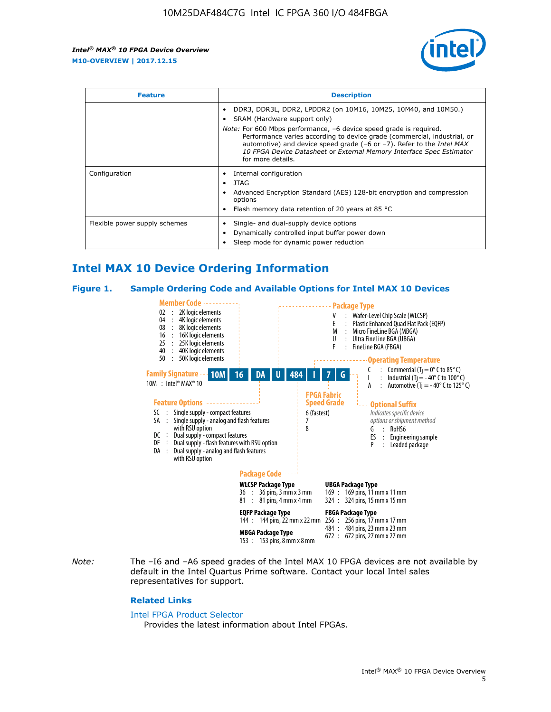

| <b>Feature</b>                | <b>Description</b>                                                                                                                                                                                                                                                                                                                                                                                                            |  |  |  |
|-------------------------------|-------------------------------------------------------------------------------------------------------------------------------------------------------------------------------------------------------------------------------------------------------------------------------------------------------------------------------------------------------------------------------------------------------------------------------|--|--|--|
|                               | DDR3, DDR3L, DDR2, LPDDR2 (on 10M16, 10M25, 10M40, and 10M50.)<br>SRAM (Hardware support only)<br><i>Note:</i> For 600 Mbps performance, -6 device speed grade is required.<br>Performance varies according to device grade (commercial, industrial, or<br>automotive) and device speed grade (-6 or -7). Refer to the Intel MAX<br>10 FPGA Device Datasheet or External Memory Interface Spec Estimator<br>for more details. |  |  |  |
| Configuration                 | Internal configuration<br>JTAG<br>٠<br>Advanced Encryption Standard (AES) 128-bit encryption and compression<br>options<br>Flash memory data retention of 20 years at 85 $^{\circ}$ C                                                                                                                                                                                                                                         |  |  |  |
| Flexible power supply schemes | Single- and dual-supply device options<br>Dynamically controlled input buffer power down<br>Sleep mode for dynamic power reduction                                                                                                                                                                                                                                                                                            |  |  |  |

## **Intel MAX 10 Device Ordering Information**

#### **Figure 1. Sample Ordering Code and Available Options for Intel MAX 10 Devices**



*Note:* The –I6 and –A6 speed grades of the Intel MAX 10 FPGA devices are not available by default in the Intel Quartus Prime software. Contact your local Intel sales representatives for support.

#### **Related Links**

#### [Intel FPGA Product Selector](http://www.altera.com/products/selector/psg-selector.html)

Provides the latest information about Intel FPGAs.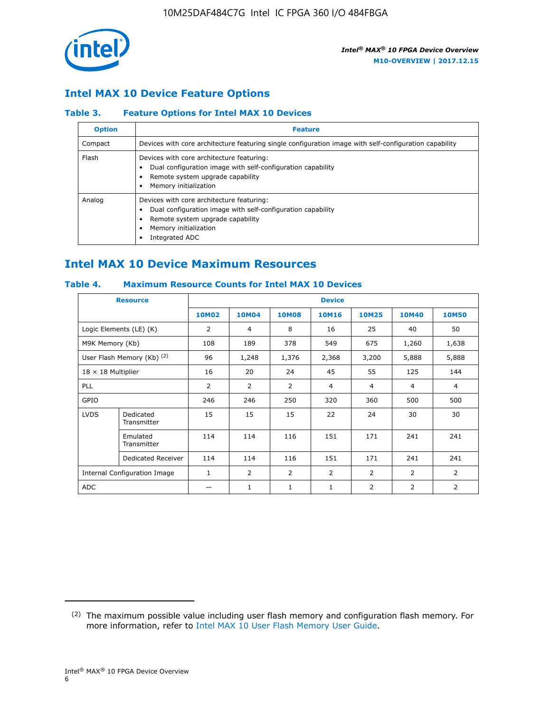

## **Intel MAX 10 Device Feature Options**

#### **Table 3. Feature Options for Intel MAX 10 Devices**

| <b>Option</b> | <b>Feature</b>                                                                                                                                                                          |
|---------------|-----------------------------------------------------------------------------------------------------------------------------------------------------------------------------------------|
| Compact       | Devices with core architecture featuring single configuration image with self-configuration capability                                                                                  |
| Flash         | Devices with core architecture featuring:<br>Dual configuration image with self-configuration capability<br>Remote system upgrade capability<br>Memory initialization                   |
| Analog        | Devices with core architecture featuring:<br>Dual configuration image with self-configuration capability<br>Remote system upgrade capability<br>Memory initialization<br>Integrated ADC |

## **Intel MAX 10 Device Maximum Resources**

#### **Table 4. Maximum Resource Counts for Intel MAX 10 Devices**

| <b>Resource</b>                     |                            | <b>Device</b> |                |                |                |                |                |                |
|-------------------------------------|----------------------------|---------------|----------------|----------------|----------------|----------------|----------------|----------------|
|                                     |                            | <b>10M02</b>  | 10M04          | <b>10M08</b>   | <b>10M16</b>   | <b>10M25</b>   | <b>10M40</b>   | <b>10M50</b>   |
|                                     | Logic Elements (LE) (K)    | 2             | 4              | 8              | 16             | 25             | 40             | 50             |
| M9K Memory (Kb)                     |                            | 108           | 189            | 378            | 549            | 675            | 1,260          | 1,638          |
|                                     | User Flash Memory (Kb) (2) | 96            | 1,248          | 1,376          | 2,368          | 3,200          | 5,888          | 5,888          |
| $18 \times 18$ Multiplier           |                            | 16            | 20             | 24             | 45             | 55             | 125            | 144            |
| <b>PLL</b>                          |                            | 2             | $\overline{2}$ | $\overline{2}$ | $\overline{4}$ | $\overline{4}$ | 4              | $\overline{4}$ |
| GPIO                                |                            | 246           | 246            | 250            | 320            | 360            | 500            | 500            |
| <b>LVDS</b>                         | Dedicated<br>Transmitter   | 15            | 15             | 15             | 22             | 24             | 30             | 30             |
|                                     | Emulated<br>Transmitter    | 114           | 114            | 116            | 151            | 171            | 241            | 241            |
|                                     | Dedicated Receiver         | 114           | 114            | 116            | 151            | 171            | 241            | 241            |
| <b>Internal Configuration Image</b> |                            | $\mathbf{1}$  | $\overline{2}$ | $\overline{2}$ | $\overline{2}$ | 2              | $\overline{2}$ | $\overline{2}$ |
| <b>ADC</b>                          |                            |               | 1              | $\mathbf{1}$   | $\mathbf{1}$   | 2              | 2              | 2              |

<sup>(2)</sup> The maximum possible value including user flash memory and configuration flash memory. For more information, refer to [Intel MAX 10 User Flash Memory User Guide](https://www.altera.com/documentation/vgo1395753117436.html#vgo1395811844282).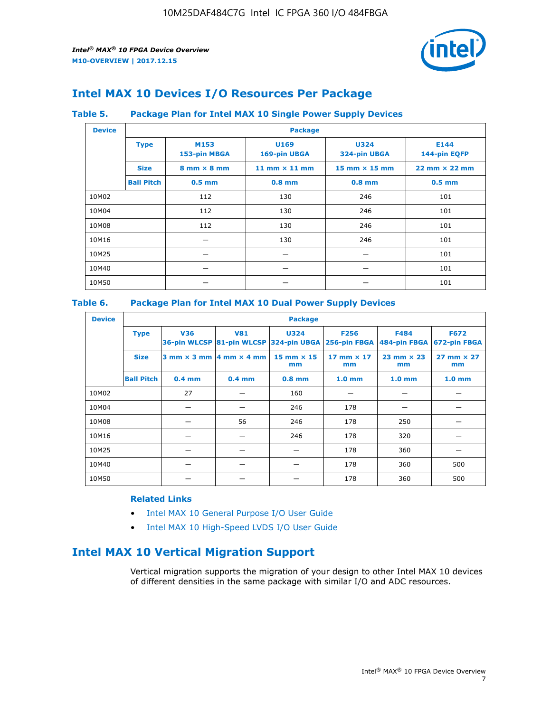

## **Intel MAX 10 Devices I/O Resources Per Package**

#### **Table 5. Package Plan for Intel MAX 10 Single Power Supply Devices**

| <b>Device</b> |                   | <b>Package</b>                     |                      |                             |                                      |  |  |  |  |
|---------------|-------------------|------------------------------------|----------------------|-----------------------------|--------------------------------------|--|--|--|--|
|               | <b>Type</b>       | M153<br>153-pin MBGA               | U169<br>169-pin UBGA | <b>U324</b><br>324-pin UBGA | E144<br>144-pin EQFP                 |  |  |  |  |
|               | <b>Size</b>       | $8 \text{ mm} \times 8 \text{ mm}$ | 11 mm $\times$ 11 mm | 15 mm $\times$ 15 mm        | $22 \text{ mm} \times 22 \text{ mm}$ |  |  |  |  |
|               | <b>Ball Pitch</b> | $0.5$ mm                           | $0.8$ mm             | $0.8$ mm                    | $0.5$ mm                             |  |  |  |  |
| 10M02         |                   | 112                                | 130                  | 246                         | 101                                  |  |  |  |  |
| 10M04         |                   | 112                                | 130                  | 246                         | 101                                  |  |  |  |  |
| 10M08         |                   | 112                                | 130                  | 246                         | 101                                  |  |  |  |  |
| 10M16         |                   |                                    | 130                  | 246                         | 101                                  |  |  |  |  |
| 10M25         |                   |                                    |                      |                             | 101                                  |  |  |  |  |
| 10M40         |                   | –                                  |                      |                             | 101                                  |  |  |  |  |
| 10M50         |                   |                                    |                      |                             | 101                                  |  |  |  |  |

#### **Table 6. Package Plan for Intel MAX 10 Dual Power Supply Devices**

| <b>Device</b> |                   | <b>Package</b> |                                                 |                                                                    |                         |                           |                             |  |  |
|---------------|-------------------|----------------|-------------------------------------------------|--------------------------------------------------------------------|-------------------------|---------------------------|-----------------------------|--|--|
|               | <b>Type</b>       | <b>V36</b>     | <b>V81</b>                                      | <b>U324</b><br>36-pin WLCSP 81-pin WLCSP 324-pin UBGA 256-pin FBGA | <b>F256</b>             | F484<br>484-pin FBGA      | <b>F672</b><br>672-pin FBGA |  |  |
|               | <b>Size</b>       |                | $3$ mm $\times$ 3 mm $\vert$ 4 mm $\times$ 4 mm | $15$ mm $\times$ 15<br>mm                                          | 17 mm $\times$ 17<br>mm | $23$ mm $\times$ 23<br>mm | $27$ mm $\times$ 27<br>mm   |  |  |
|               | <b>Ball Pitch</b> | $0.4$ mm       | $0.4$ mm                                        | $0.8$ mm                                                           | 1.0 <sub>mm</sub>       | 1.0 <sub>mm</sub>         | 1.0 <sub>mm</sub>           |  |  |
| 10M02         |                   | 27             |                                                 | 160                                                                |                         |                           |                             |  |  |
| 10M04         |                   |                |                                                 | 246                                                                | 178                     |                           |                             |  |  |
| 10M08         |                   |                | 56                                              | 246                                                                | 178                     | 250                       |                             |  |  |
| 10M16         |                   |                |                                                 | 246                                                                | 178                     | 320                       |                             |  |  |
| 10M25         |                   |                |                                                 |                                                                    | 178                     | 360                       |                             |  |  |
| 10M40         |                   |                |                                                 |                                                                    | 178                     | 360                       | 500                         |  |  |
| 10M50         |                   |                |                                                 |                                                                    | 178                     | 360                       | 500                         |  |  |

#### **Related Links**

- [Intel MAX 10 General Purpose I/O User Guide](https://www.altera.com/documentation/sam1393999966669.html#sam1394000084476)
- [Intel MAX 10 High-Speed LVDS I/O User Guide](https://www.altera.com/documentation/sam1394433606063.html#sam1394433911642)

## **Intel MAX 10 Vertical Migration Support**

Vertical migration supports the migration of your design to other Intel MAX 10 devices of different densities in the same package with similar I/O and ADC resources.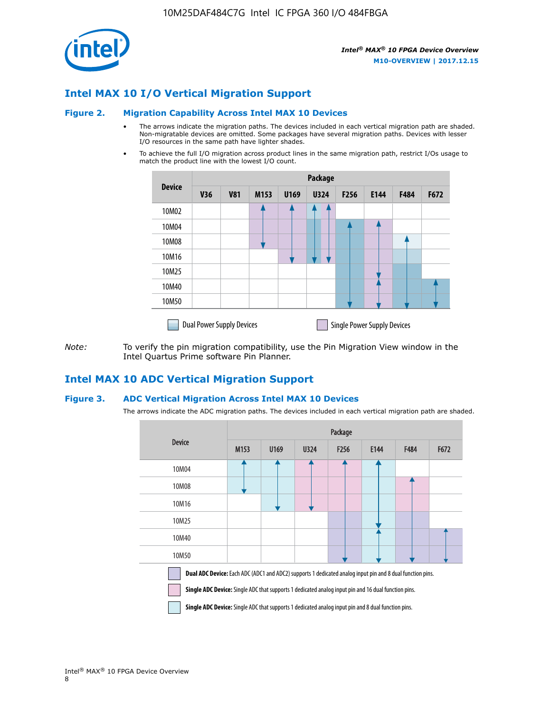

## **Intel MAX 10 I/O Vertical Migration Support**

#### **Figure 2. Migration Capability Across Intel MAX 10 Devices**

- The arrows indicate the migration paths. The devices included in each vertical migration path are shaded. Non-migratable devices are omitted. Some packages have several migration paths. Devices with lesser I/O resources in the same path have lighter shades.
- To achieve the full I/O migration across product lines in the same migration path, restrict I/Os usage to match the product line with the lowest I/O count.

|               | <b>Package</b>                   |            |      |      |             |                  |                                    |      |      |  |
|---------------|----------------------------------|------------|------|------|-------------|------------------|------------------------------------|------|------|--|
| <b>Device</b> | <b>V36</b>                       | <b>V81</b> | M153 | U169 | <b>U324</b> | F <sub>256</sub> | E144                               | F484 | F672 |  |
| 10M02         |                                  |            |      |      | 7           |                  |                                    |      |      |  |
| 10M04         |                                  |            |      |      |             |                  |                                    |      |      |  |
| 10M08         |                                  |            |      |      |             |                  |                                    |      |      |  |
| 10M16         |                                  |            |      |      |             |                  |                                    |      |      |  |
| 10M25         |                                  |            |      |      |             |                  |                                    |      |      |  |
| 10M40         |                                  |            |      |      |             |                  |                                    |      |      |  |
| 10M50         |                                  |            |      |      |             |                  |                                    |      |      |  |
|               | <b>Dual Power Supply Devices</b> |            |      |      |             |                  | <b>Single Power Supply Devices</b> |      |      |  |

*Note:* To verify the pin migration compatibility, use the Pin Migration View window in the Intel Quartus Prime software Pin Planner.

## **Intel MAX 10 ADC Vertical Migration Support**

#### **Figure 3. ADC Vertical Migration Across Intel MAX 10 Devices**

The arrows indicate the ADC migration paths. The devices included in each vertical migration path are shaded.

|                                                                                                                                                                                                                         | Package          |      |      |                  |      |             |      |  |  |
|-------------------------------------------------------------------------------------------------------------------------------------------------------------------------------------------------------------------------|------------------|------|------|------------------|------|-------------|------|--|--|
| <b>Device</b>                                                                                                                                                                                                           | M <sub>153</sub> | U169 | U324 | F <sub>256</sub> | E144 | <b>F484</b> | F672 |  |  |
| 10M04                                                                                                                                                                                                                   |                  |      |      |                  |      |             |      |  |  |
| 10M08                                                                                                                                                                                                                   |                  |      |      |                  |      |             |      |  |  |
| 10M16                                                                                                                                                                                                                   |                  |      |      |                  |      |             |      |  |  |
| 10M25                                                                                                                                                                                                                   |                  |      |      |                  |      |             |      |  |  |
| 10M40                                                                                                                                                                                                                   |                  |      |      |                  |      |             |      |  |  |
| 10M50                                                                                                                                                                                                                   |                  |      |      |                  |      |             |      |  |  |
| <b>Dual ADC Device:</b> Each ADC (ADC1 and ADC2) supports 1 dedicated analog input pin and 8 dual function pins.<br>Single ADC Device: Single ADC that supports 1 dedicated analog input pin and 16 dual function pins. |                  |      |      |                  |      |             |      |  |  |

**Single ADC Device:** Single ADC that supports 1 dedicated analog input pin and 8 dual function pins.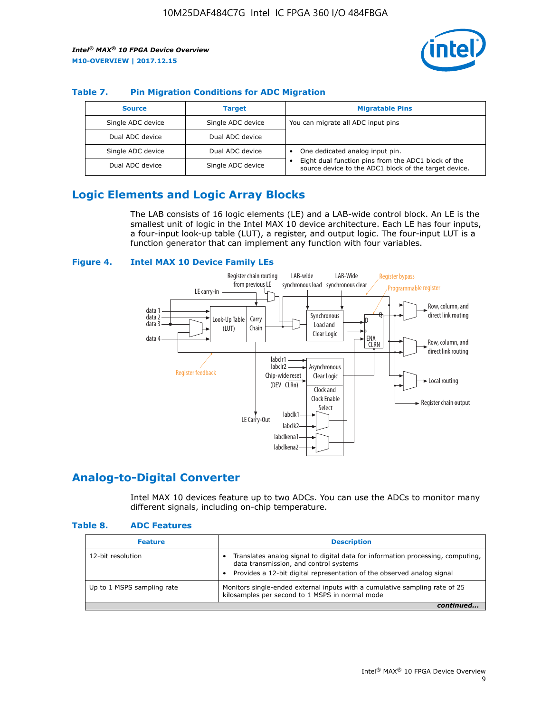

#### **Table 7. Pin Migration Conditions for ADC Migration**

| <b>Source</b>     | <b>Target</b>     | <b>Migratable Pins</b>                                                                                            |
|-------------------|-------------------|-------------------------------------------------------------------------------------------------------------------|
| Single ADC device | Single ADC device | You can migrate all ADC input pins                                                                                |
| Dual ADC device   | Dual ADC device   |                                                                                                                   |
| Single ADC device | Dual ADC device   | One dedicated analog input pin.                                                                                   |
| Dual ADC device   | Single ADC device | Eight dual function pins from the ADC1 block of the<br>٠<br>source device to the ADC1 block of the target device. |

## **Logic Elements and Logic Array Blocks**

The LAB consists of 16 logic elements (LE) and a LAB-wide control block. An LE is the smallest unit of logic in the Intel MAX 10 device architecture. Each LE has four inputs, a four-input look-up table (LUT), a register, and output logic. The four-input LUT is a function generator that can implement any function with four variables.

#### **Figure 4. Intel MAX 10 Device Family LEs**



## **Analog-to-Digital Converter**

Intel MAX 10 devices feature up to two ADCs. You can use the ADCs to monitor many different signals, including on-chip temperature.

#### **Table 8. ADC Features**

| <b>Feature</b>             | <b>Description</b>                                                                                                                                                                                  |
|----------------------------|-----------------------------------------------------------------------------------------------------------------------------------------------------------------------------------------------------|
| 12-bit resolution          | Translates analog signal to digital data for information processing, computing,<br>data transmission, and control systems<br>Provides a 12-bit digital representation of the observed analog signal |
| Up to 1 MSPS sampling rate | Monitors single-ended external inputs with a cumulative sampling rate of 25<br>kilosamples per second to 1 MSPS in normal mode                                                                      |
|                            |                                                                                                                                                                                                     |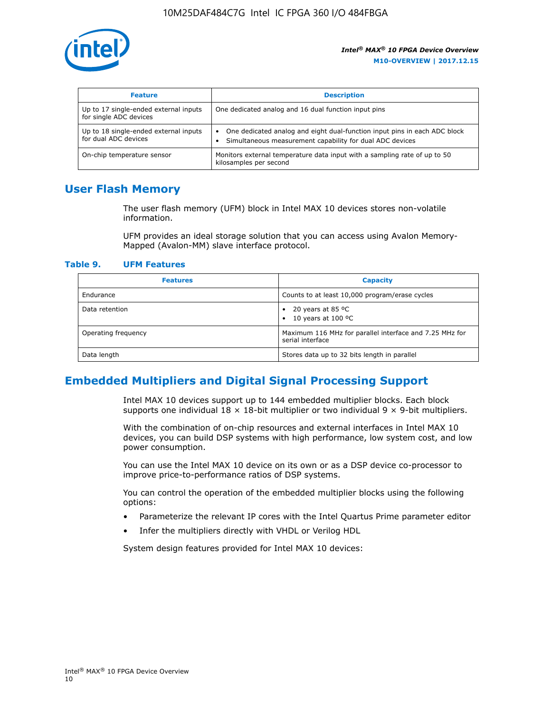

| <b>Feature</b>                                                  | <b>Description</b>                                                                                                                         |
|-----------------------------------------------------------------|--------------------------------------------------------------------------------------------------------------------------------------------|
| Up to 17 single-ended external inputs<br>for single ADC devices | One dedicated analog and 16 dual function input pins                                                                                       |
| Up to 18 single-ended external inputs<br>for dual ADC devices   | One dedicated analog and eight dual-function input pins in each ADC block<br>٠<br>Simultaneous measurement capability for dual ADC devices |
| On-chip temperature sensor                                      | Monitors external temperature data input with a sampling rate of up to 50<br>kilosamples per second                                        |

## **User Flash Memory**

The user flash memory (UFM) block in Intel MAX 10 devices stores non-volatile information.

UFM provides an ideal storage solution that you can access using Avalon Memory-Mapped (Avalon-MM) slave interface protocol.

#### **Table 9. UFM Features**

| <b>Features</b>     | <b>Capacity</b>                                                             |
|---------------------|-----------------------------------------------------------------------------|
| Endurance           | Counts to at least 10,000 program/erase cycles                              |
| Data retention      | 20 years at 85 °C<br>٠<br>10 years at 100 °C<br>$\bullet$                   |
| Operating frequency | Maximum 116 MHz for parallel interface and 7.25 MHz for<br>serial interface |
| Data length         | Stores data up to 32 bits length in parallel                                |

## **Embedded Multipliers and Digital Signal Processing Support**

Intel MAX 10 devices support up to 144 embedded multiplier blocks. Each block supports one individual  $18 \times 18$ -bit multiplier or two individual  $9 \times 9$ -bit multipliers.

With the combination of on-chip resources and external interfaces in Intel MAX 10 devices, you can build DSP systems with high performance, low system cost, and low power consumption.

You can use the Intel MAX 10 device on its own or as a DSP device co-processor to improve price-to-performance ratios of DSP systems.

You can control the operation of the embedded multiplier blocks using the following options:

- Parameterize the relevant IP cores with the Intel Quartus Prime parameter editor
- Infer the multipliers directly with VHDL or Verilog HDL

System design features provided for Intel MAX 10 devices: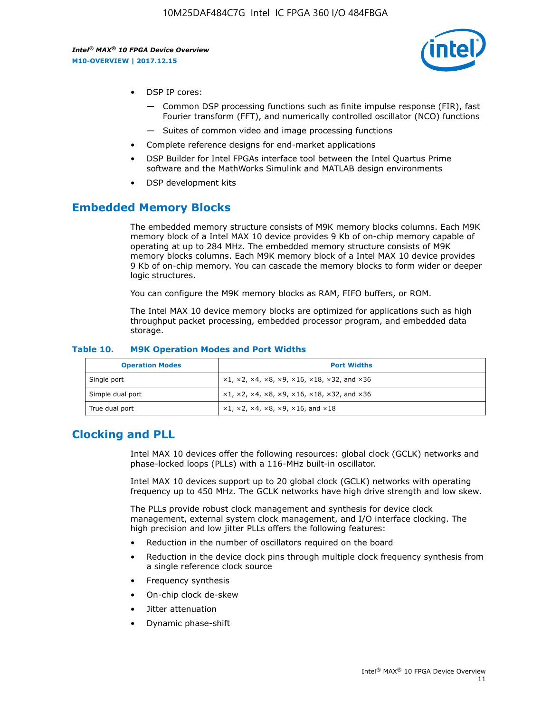

- DSP IP cores:
	- Common DSP processing functions such as finite impulse response (FIR), fast Fourier transform (FFT), and numerically controlled oscillator (NCO) functions
	- Suites of common video and image processing functions
- Complete reference designs for end-market applications
- DSP Builder for Intel FPGAs interface tool between the Intel Quartus Prime software and the MathWorks Simulink and MATLAB design environments
- DSP development kits

## **Embedded Memory Blocks**

The embedded memory structure consists of M9K memory blocks columns. Each M9K memory block of a Intel MAX 10 device provides 9 Kb of on-chip memory capable of operating at up to 284 MHz. The embedded memory structure consists of M9K memory blocks columns. Each M9K memory block of a Intel MAX 10 device provides 9 Kb of on-chip memory. You can cascade the memory blocks to form wider or deeper logic structures.

You can configure the M9K memory blocks as RAM, FIFO buffers, or ROM.

The Intel MAX 10 device memory blocks are optimized for applications such as high throughput packet processing, embedded processor program, and embedded data storage.

| <b>Operation Modes</b> | <b>Port Widths</b>                                                            |
|------------------------|-------------------------------------------------------------------------------|
| Single port            | $x1, x2, x4, x8, x9, x16, x18, x32, and x36$                                  |
| Simple dual port       | $x1, x2, x4, x8, x9, x16, x18, x32, and x36$                                  |
| True dual port         | $\times1, \times2, \times4, \times8, \times9, \times16, \text{and } \times18$ |

#### **Table 10. M9K Operation Modes and Port Widths**

## **Clocking and PLL**

Intel MAX 10 devices offer the following resources: global clock (GCLK) networks and phase-locked loops (PLLs) with a 116-MHz built-in oscillator.

Intel MAX 10 devices support up to 20 global clock (GCLK) networks with operating frequency up to 450 MHz. The GCLK networks have high drive strength and low skew.

The PLLs provide robust clock management and synthesis for device clock management, external system clock management, and I/O interface clocking. The high precision and low jitter PLLs offers the following features:

- Reduction in the number of oscillators required on the board
- Reduction in the device clock pins through multiple clock frequency synthesis from a single reference clock source
- Frequency synthesis
- On-chip clock de-skew
- Jitter attenuation
- Dynamic phase-shift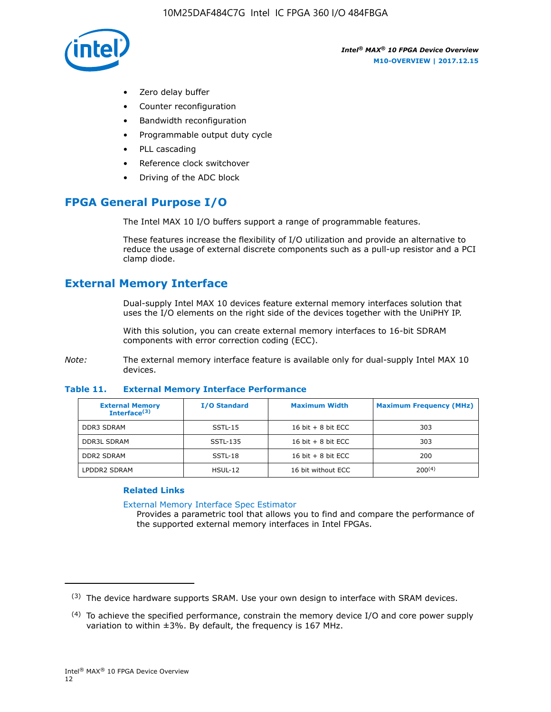

- Zero delay buffer
- Counter reconfiguration
- Bandwidth reconfiguration
- Programmable output duty cycle
- PLL cascading
- Reference clock switchover
- Driving of the ADC block

## **FPGA General Purpose I/O**

The Intel MAX 10 I/O buffers support a range of programmable features.

These features increase the flexibility of I/O utilization and provide an alternative to reduce the usage of external discrete components such as a pull-up resistor and a PCI clamp diode.

## **External Memory Interface**

Dual-supply Intel MAX 10 devices feature external memory interfaces solution that uses the I/O elements on the right side of the devices together with the UniPHY IP.

With this solution, you can create external memory interfaces to 16-bit SDRAM components with error correction coding (ECC).

*Note:* The external memory interface feature is available only for dual-supply Intel MAX 10 devices.

#### **Table 11. External Memory Interface Performance**

| <b>External Memory</b><br>Interface <sup>(3)</sup> | <b>I/O Standard</b> | <b>Maximum Width</b> | <b>Maximum Frequency (MHz)</b> |
|----------------------------------------------------|---------------------|----------------------|--------------------------------|
| <b>DDR3 SDRAM</b>                                  | SSTL-15             | 16 bit $+8$ bit ECC  | 303                            |
| <b>DDR3L SDRAM</b>                                 | SSTL-135            | 16 bit $+8$ bit ECC  | 303                            |
| <b>DDR2 SDRAM</b>                                  | SSTL-18             | 16 bit $+8$ bit ECC  | 200                            |
| LPDDR2 SDRAM                                       | $H SUL-12$          | 16 bit without ECC   | 200(4)                         |

#### **Related Links**

[External Memory Interface Spec Estimator](http://www.altera.com/technology/memory/estimator/mem-emif-index.html)

Provides a parametric tool that allows you to find and compare the performance of the supported external memory interfaces in Intel FPGAs.

 $(3)$  The device hardware supports SRAM. Use your own design to interface with SRAM devices.

 $(4)$  To achieve the specified performance, constrain the memory device I/O and core power supply variation to within ±3%. By default, the frequency is 167 MHz.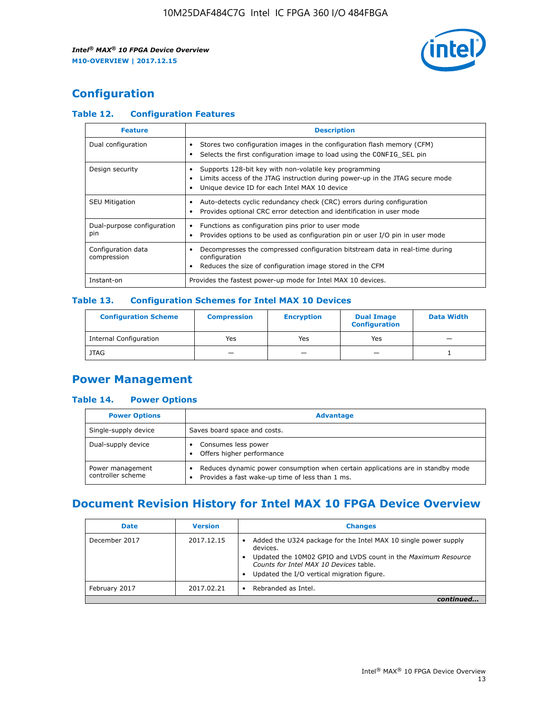

## **Configuration**

#### **Table 12. Configuration Features**

| <b>Feature</b>                    | <b>Description</b>                                                                                                                                                                       |
|-----------------------------------|------------------------------------------------------------------------------------------------------------------------------------------------------------------------------------------|
| Dual configuration                | Stores two configuration images in the configuration flash memory (CFM)<br>Selects the first configuration image to load using the CONFIG SEL pin                                        |
| Design security                   | Supports 128-bit key with non-volatile key programming<br>Limits access of the JTAG instruction during power-up in the JTAG secure mode<br>Unique device ID for each Intel MAX 10 device |
| <b>SEU Mitigation</b>             | Auto-detects cyclic redundancy check (CRC) errors during configuration<br>Provides optional CRC error detection and identification in user mode                                          |
| Dual-purpose configuration<br>pin | Functions as configuration pins prior to user mode<br>Provides options to be used as configuration pin or user I/O pin in user mode                                                      |
| Configuration data<br>compression | Decompresses the compressed configuration bitstream data in real-time during<br>configuration<br>Reduces the size of configuration image stored in the CFM                               |
| Instant-on                        | Provides the fastest power-up mode for Intel MAX 10 devices.                                                                                                                             |

#### **Table 13. Configuration Schemes for Intel MAX 10 Devices**

| <b>Configuration Scheme</b>   | <b>Compression</b>       | <b>Encryption</b> | <b>Dual Image</b><br><b>Configuration</b> | <b>Data Width</b> |
|-------------------------------|--------------------------|-------------------|-------------------------------------------|-------------------|
| <b>Internal Configuration</b> | Yes                      | Yes               | Yes                                       |                   |
| <b>JTAG</b>                   | $\overline{\phantom{a}}$ |                   | -                                         |                   |

## **Power Management**

#### **Table 14. Power Options**

| <b>Power Options</b>                  | <b>Advantage</b>                                                                                                                                |  |
|---------------------------------------|-------------------------------------------------------------------------------------------------------------------------------------------------|--|
| Single-supply device                  | Saves board space and costs.                                                                                                                    |  |
| Dual-supply device                    | Consumes less power<br>Offers higher performance                                                                                                |  |
| Power management<br>controller scheme | Reduces dynamic power consumption when certain applications are in standby mode<br>Provides a fast wake-up time of less than 1 ms.<br>$\bullet$ |  |

## **Document Revision History for Intel MAX 10 FPGA Device Overview**

| <b>Date</b>   | <b>Version</b> | <b>Changes</b>                                                                                                                                                                                                                       |
|---------------|----------------|--------------------------------------------------------------------------------------------------------------------------------------------------------------------------------------------------------------------------------------|
| December 2017 | 2017.12.15     | Added the U324 package for the Intel MAX 10 single power supply<br>devices.<br>Updated the 10M02 GPIO and LVDS count in the Maximum Resource<br>Counts for Intel MAX 10 Devices table.<br>Updated the I/O vertical migration figure. |
| February 2017 | 2017.02.21     | Rebranded as Intel.                                                                                                                                                                                                                  |
|               |                |                                                                                                                                                                                                                                      |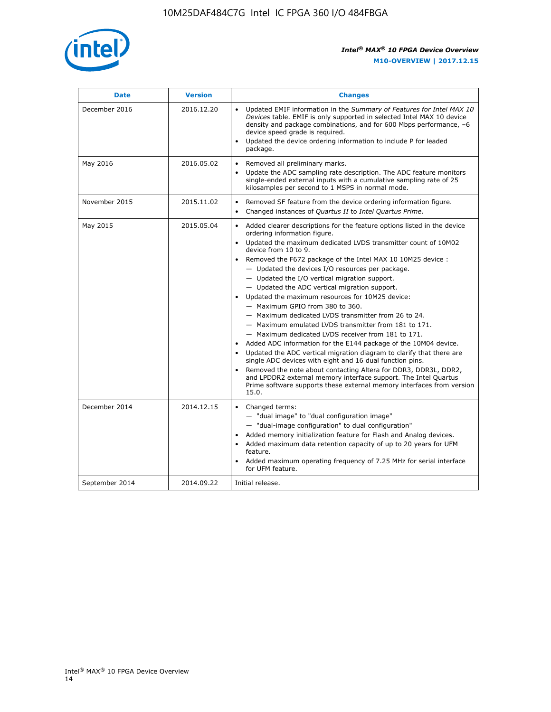

| <b>Date</b>    | <b>Version</b> | <b>Changes</b>                                                                                                                                                                                                                                                                                                                                                                                                                                                                                                                                                                                                                                                                                                                                                                                                                                                                                                                                                                                                                                                                                                                                                          |
|----------------|----------------|-------------------------------------------------------------------------------------------------------------------------------------------------------------------------------------------------------------------------------------------------------------------------------------------------------------------------------------------------------------------------------------------------------------------------------------------------------------------------------------------------------------------------------------------------------------------------------------------------------------------------------------------------------------------------------------------------------------------------------------------------------------------------------------------------------------------------------------------------------------------------------------------------------------------------------------------------------------------------------------------------------------------------------------------------------------------------------------------------------------------------------------------------------------------------|
| December 2016  | 2016.12.20     | • Updated EMIF information in the Summary of Features for Intel MAX 10<br>Devices table. EMIF is only supported in selected Intel MAX 10 device<br>density and package combinations, and for 600 Mbps performance, -6<br>device speed grade is required.<br>Updated the device ordering information to include P for leaded<br>$\bullet$<br>package.                                                                                                                                                                                                                                                                                                                                                                                                                                                                                                                                                                                                                                                                                                                                                                                                                    |
| May 2016       | 2016.05.02     | Removed all preliminary marks.<br>Update the ADC sampling rate description. The ADC feature monitors<br>$\bullet$<br>single-ended external inputs with a cumulative sampling rate of 25<br>kilosamples per second to 1 MSPS in normal mode.                                                                                                                                                                                                                                                                                                                                                                                                                                                                                                                                                                                                                                                                                                                                                                                                                                                                                                                             |
| November 2015  | 2015.11.02     | Removed SF feature from the device ordering information figure.<br>$\bullet$<br>Changed instances of Quartus II to Intel Quartus Prime.<br>$\bullet$                                                                                                                                                                                                                                                                                                                                                                                                                                                                                                                                                                                                                                                                                                                                                                                                                                                                                                                                                                                                                    |
| May 2015       | 2015.05.04     | Added clearer descriptions for the feature options listed in the device<br>$\bullet$<br>ordering information figure.<br>Updated the maximum dedicated LVDS transmitter count of 10M02<br>$\bullet$<br>device from 10 to 9.<br>• Removed the F672 package of the Intel MAX 10 10M25 device :<br>- Updated the devices I/O resources per package.<br>$-$ Updated the I/O vertical migration support.<br>- Updated the ADC vertical migration support.<br>Updated the maximum resources for 10M25 device:<br>$\bullet$<br>- Maximum GPIO from 380 to 360.<br>- Maximum dedicated LVDS transmitter from 26 to 24.<br>- Maximum emulated LVDS transmitter from 181 to 171.<br>- Maximum dedicated LVDS receiver from 181 to 171.<br>Added ADC information for the E144 package of the 10M04 device.<br>$\bullet$<br>Updated the ADC vertical migration diagram to clarify that there are<br>single ADC devices with eight and 16 dual function pins.<br>Removed the note about contacting Altera for DDR3, DDR3L, DDR2,<br>and LPDDR2 external memory interface support. The Intel Quartus<br>Prime software supports these external memory interfaces from version<br>15.0. |
| December 2014  | 2014.12.15     | Changed terms:<br>$\bullet$<br>- "dual image" to "dual configuration image"<br>- "dual-image configuration" to dual configuration"<br>Added memory initialization feature for Flash and Analog devices.<br>$\bullet$<br>Added maximum data retention capacity of up to 20 years for UFM<br>$\bullet$<br>feature.<br>Added maximum operating frequency of 7.25 MHz for serial interface<br>$\bullet$<br>for UFM feature.                                                                                                                                                                                                                                                                                                                                                                                                                                                                                                                                                                                                                                                                                                                                                 |
| September 2014 | 2014.09.22     | Initial release.                                                                                                                                                                                                                                                                                                                                                                                                                                                                                                                                                                                                                                                                                                                                                                                                                                                                                                                                                                                                                                                                                                                                                        |